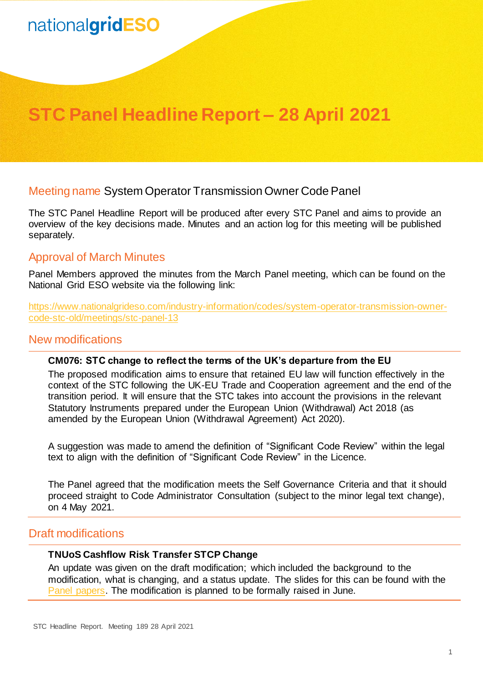# nationalgridESO

# **STC Panel Headline Report – 28 April 2021**

## Meeting name System Operator Transmission Owner Code Panel

The STC Panel Headline Report will be produced after every STC Panel and aims to provide an overview of the key decisions made. Minutes and an action log for this meeting will be published separately.

## Approval of March Minutes

Panel Members approved the minutes from the March Panel meeting, which can be found on the National Grid ESO website via the following link:

[https://www.nationalgrideso.com/industry-information/codes/system-operator-transmission-owner](https://www.nationalgrideso.com/industry-information/codes/system-operator-transmission-owner-code-stc-old/meetings/stc-panel-13)[code-stc-old/meetings/stc-panel-13](https://www.nationalgrideso.com/industry-information/codes/system-operator-transmission-owner-code-stc-old/meetings/stc-panel-13)

#### New modifications

#### **CM076: STC change to reflect the terms of the UK's departure from the EU**

The proposed modification aims to ensure that retained EU law will function effectively in the context of the STC following the UK-EU Trade and Cooperation agreement and the end of the transition period. It will ensure that the STC takes into account the provisions in the relevant Statutory Instruments prepared under the European Union (Withdrawal) Act 2018 (as amended by the European Union (Withdrawal Agreement) Act 2020).

A suggestion was made to amend the definition of "Significant Code Review" within the legal text to align with the definition of "Significant Code Review" in the Licence.

The Panel agreed that the modification meets the Self Governance Criteria and that it should proceed straight to Code Administrator Consultation (subject to the minor legal text change), on 4 May 2021.

## Draft modifications

#### **TNUoS Cashflow Risk Transfer STCP Change**

An update was given on the draft modification; which included the background to the modification, what is changing, and a status update. The slides for this can be found with the [Panel papers.](https://www.nationalgrideso.com/document/190436/download) The modification is planned to be formally raised in June.